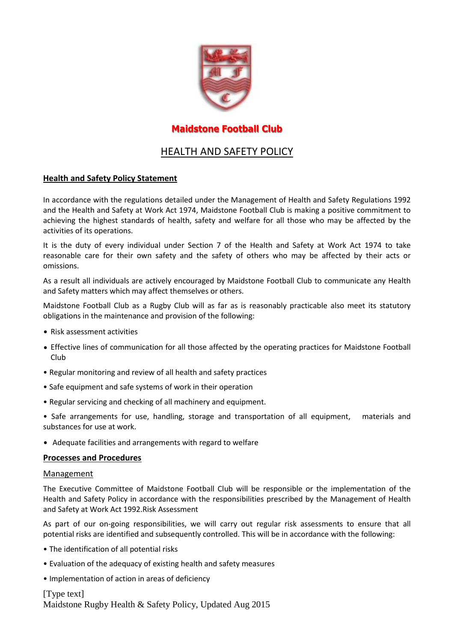

## **Maidstone Football Club**

# HEALTH AND SAFETY POLICY

### **Health and Safety Policy Statement**

In accordance with the regulations detailed under the Management of Health and Safety Regulations 1992 and the Health and Safety at Work Act 1974, Maidstone Football Club is making a positive commitment to achieving the highest standards of health, safety and welfare for all those who may be affected by the activities of its operations.

It is the duty of every individual under Section 7 of the Health and Safety at Work Act 1974 to take reasonable care for their own safety and the safety of others who may be affected by their acts or omissions.

As a result all individuals are actively encouraged by Maidstone Football Club to communicate any Health and Safety matters which may affect themselves or others.

Maidstone Football Club as a Rugby Club will as far as is reasonably practicable also meet its statutory obligations in the maintenance and provision of the following:

- Risk assessment activities
- Effective lines of communication for all those affected by the operating practices for Maidstone Football Club
- Regular monitoring and review of all health and safety practices
- Safe equipment and safe systems of work in their operation
- Regular servicing and checking of all machinery and equipment.

• Safe arrangements for use, handling, storage and transportation of all equipment, materials and substances for use at work.

• Adequate facilities and arrangements with regard to welfare

### **Processes and Procedures**

#### Management

The Executive Committee of Maidstone Football Club will be responsible or the implementation of the Health and Safety Policy in accordance with the responsibilities prescribed by the Management of Health and Safety at Work Act 1992.Risk Assessment

As part of our on-going responsibilities, we will carry out regular risk assessments to ensure that all potential risks are identified and subsequently controlled. This will be in accordance with the following:

- The identification of all potential risks
- Evaluation of the adequacy of existing health and safety measures
- Implementation of action in areas of deficiency

[Type text] Maidstone Rugby Health & Safety Policy, Updated Aug 2015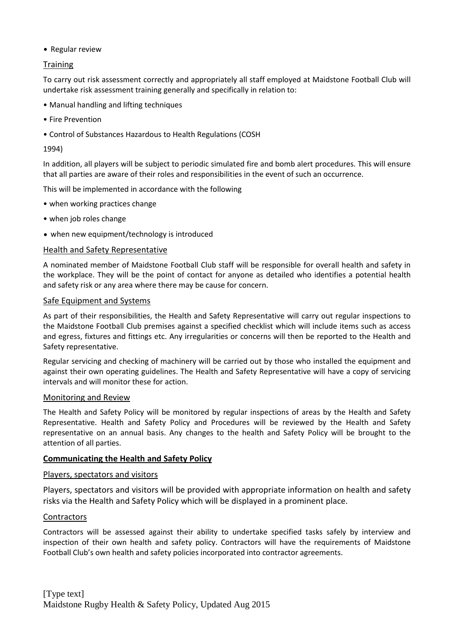• Regular review

### **Training**

To carry out risk assessment correctly and appropriately all staff employed at Maidstone Football Club will undertake risk assessment training generally and specifically in relation to:

- Manual handling and lifting techniques
- Fire Prevention
- Control of Substances Hazardous to Health Regulations (COSH

#### 1994)

In addition, all players will be subject to periodic simulated fire and bomb alert procedures. This will ensure that all parties are aware of their roles and responsibilities in the event of such an occurrence.

This will be implemented in accordance with the following

- when working practices change
- when job roles change
- when new equipment/technology is introduced

#### Health and Safety Representative

A nominated member of Maidstone Football Club staff will be responsible for overall health and safety in the workplace. They will be the point of contact for anyone as detailed who identifies a potential health and safety risk or any area where there may be cause for concern.

#### Safe Equipment and Systems

As part of their responsibilities, the Health and Safety Representative will carry out regular inspections to the Maidstone Football Club premises against a specified checklist which will include items such as access and egress, fixtures and fittings etc. Any irregularities or concerns will then be reported to the Health and Safety representative.

Regular servicing and checking of machinery will be carried out by those who installed the equipment and against their own operating guidelines. The Health and Safety Representative will have a copy of servicing intervals and will monitor these for action.

#### Monitoring and Review

The Health and Safety Policy will be monitored by regular inspections of areas by the Health and Safety Representative. Health and Safety Policy and Procedures will be reviewed by the Health and Safety representative on an annual basis. Any changes to the health and Safety Policy will be brought to the attention of all parties.

### **Communicating the Health and Safety Policy**

#### Players, spectators and visitors

Players, spectators and visitors will be provided with appropriate information on health and safety risks via the Health and Safety Policy which will be displayed in a prominent place.

### **Contractors**

Contractors will be assessed against their ability to undertake specified tasks safely by interview and inspection of their own health and safety policy. Contractors will have the requirements of Maidstone Football Club's own health and safety policies incorporated into contractor agreements.